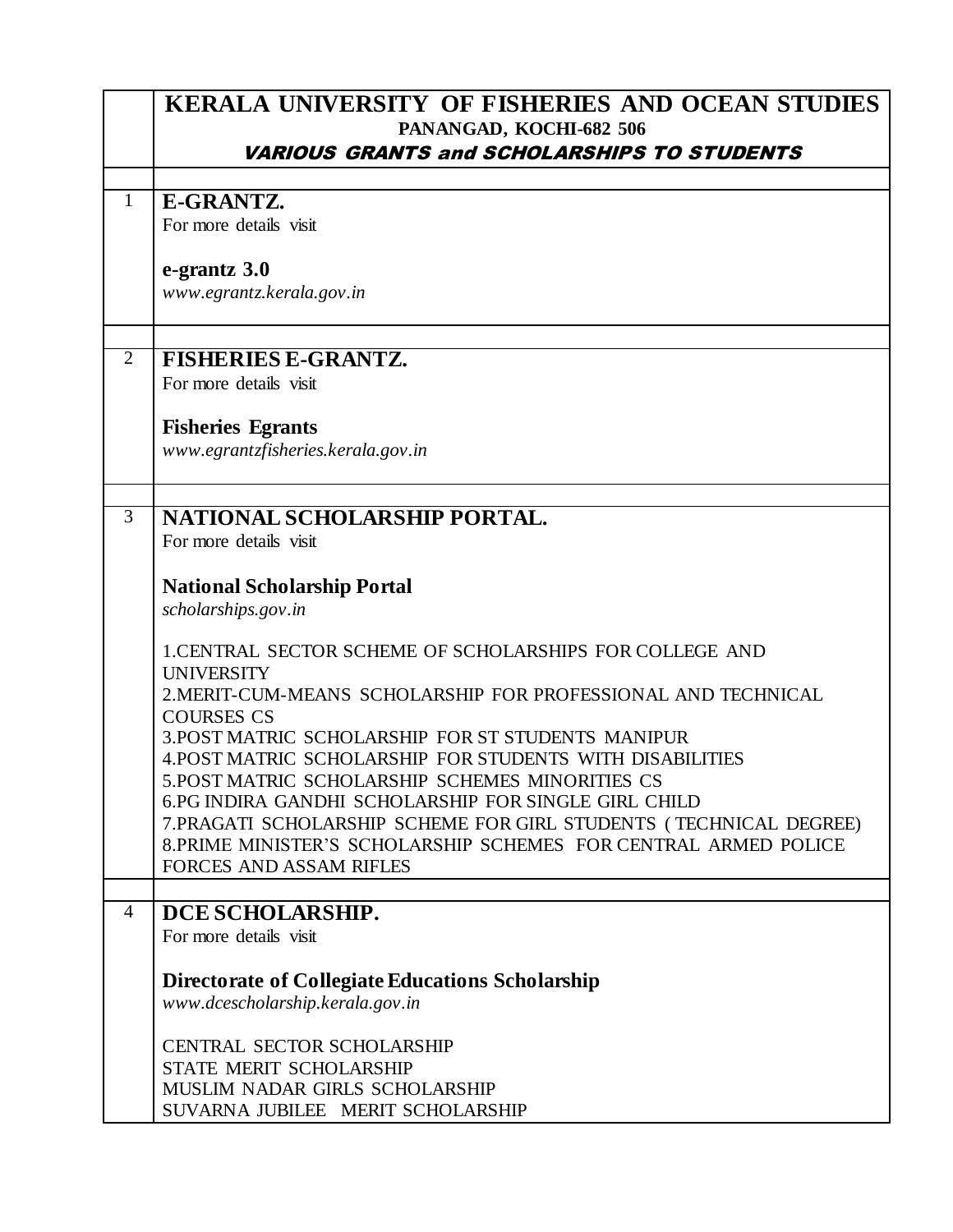|                | KERALA UNIVERSITY OF FISHERIES AND OCEAN STUDIES                                                         |
|----------------|----------------------------------------------------------------------------------------------------------|
|                | PANANGAD, KOCHI-682 506                                                                                  |
|                | <b>VARIOUS GRANTS and SCHOLARSHIPS TO STUDENTS</b>                                                       |
| $\mathbf{1}$   | E-GRANTZ.                                                                                                |
|                | For more details visit                                                                                   |
|                | e-grantz 3.0                                                                                             |
|                | www.egrantz.kerala.gov.in                                                                                |
| $\overline{2}$ | <b>FISHERIES E-GRANTZ.</b>                                                                               |
|                | For more details visit                                                                                   |
|                | <b>Fisheries Egrants</b>                                                                                 |
|                | www.egrantzfisheries.kerala.gov.in                                                                       |
| $\overline{3}$ | NATIONAL SCHOLARSHIP PORTAL.                                                                             |
|                | For more details visit                                                                                   |
|                | <b>National Scholarship Portal</b>                                                                       |
|                | scholarships.gov.in                                                                                      |
|                | 1. CENTRAL SECTOR SCHEME OF SCHOLARSHIPS FOR COLLEGE AND<br><b>UNIVERSITY</b>                            |
|                | 2. MERIT-CUM-MEANS SCHOLARSHIP FOR PROFESSIONAL AND TECHNICAL<br><b>COURSES CS</b>                       |
|                | 3. POST MATRIC SCHOLARSHIP FOR ST STUDENTS MANIPUR                                                       |
|                | 4. POST MATRIC SCHOLARSHIP FOR STUDENTS WITH DISABILITIES                                                |
|                | 5. POST MATRIC SCHOLARSHIP SCHEMES MINORITIES CS<br>6.PG INDIRA GANDHI SCHOLARSHIP FOR SINGLE GIRL CHILD |
|                | 7. PRAGATI SCHOLARSHIP SCHEME FOR GIRL STUDENTS (TECHNICAL DEGREE)                                       |
|                | 8. PRIME MINISTER'S SCHOLARSHIP SCHEMES FOR CENTRAL ARMED POLICE<br><b>FORCES AND ASSAM RIFLES</b>       |
|                |                                                                                                          |
| $\overline{4}$ | DCE SCHOLARSHIP.                                                                                         |
|                | For more details visit                                                                                   |
|                | Directorate of Collegiate Educations Scholarship<br>www.dcescholarship.kerala.gov.in                     |
|                | <b>CENTRAL SECTOR SCHOLARSHIP</b>                                                                        |
|                | STATE MERIT SCHOLARSHIP                                                                                  |
|                | MUSLIM NADAR GIRLS SCHOLARSHIP<br>SUVARNA JUBILEE MERIT SCHOLARSHIP                                      |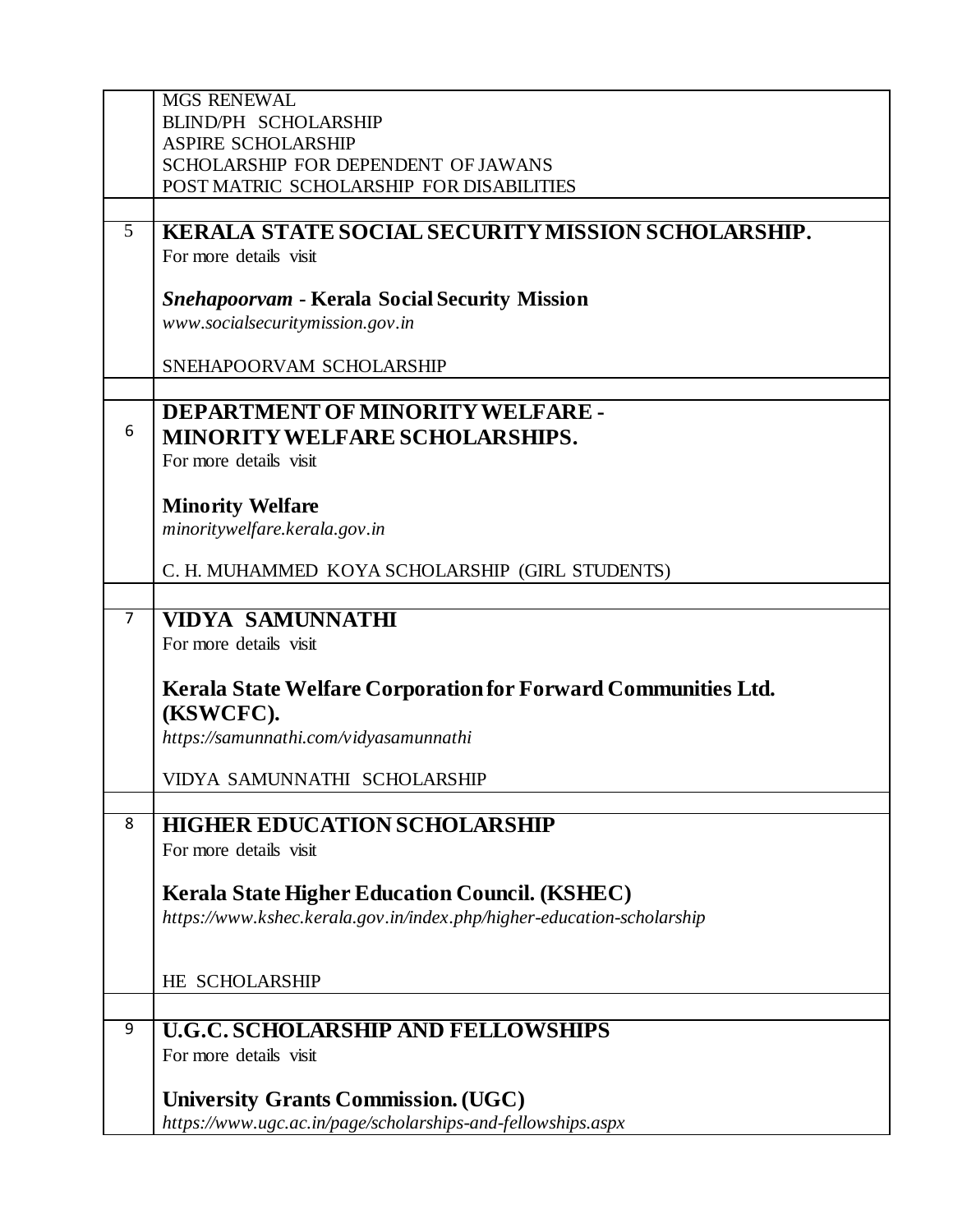|                | <b>MGS RENEWAL</b>                                                                                                              |
|----------------|---------------------------------------------------------------------------------------------------------------------------------|
|                | <b>BLIND/PH SCHOLARSHIP</b><br><b>ASPIRE SCHOLARSHIP</b>                                                                        |
|                | SCHOLARSHIP FOR DEPENDENT OF JAWANS                                                                                             |
|                | POST MATRIC SCHOLARSHIP FOR DISABILITIES                                                                                        |
|                |                                                                                                                                 |
| 5 <sup>5</sup> | KERALA STATE SOCIAL SECURITY MISSION SCHOLARSHIP.                                                                               |
|                | For more details visit                                                                                                          |
|                | <b>Snehapoorvam - Kerala Social Security Mission</b>                                                                            |
|                | www.socialsecuritymission.gov.in                                                                                                |
|                |                                                                                                                                 |
|                | SNEHAPOORVAM SCHOLARSHIP                                                                                                        |
|                | DEPARTMENT OF MINORITY WELFARE -                                                                                                |
| 6              | <b>MINORITY WELFARE SCHOLARSHIPS.</b>                                                                                           |
|                | For more details visit                                                                                                          |
|                |                                                                                                                                 |
|                | <b>Minority Welfare</b>                                                                                                         |
|                | minoritywelfare.kerala.gov.in                                                                                                   |
|                | C. H. MUHAMMED KOYA SCHOLARSHIP (GIRL STUDENTS)                                                                                 |
|                |                                                                                                                                 |
| 7              | <b>VIDYA SAMUNNATHI</b>                                                                                                         |
|                | For more details visit                                                                                                          |
|                | Kerala State Welfare Corporation for Forward Communities Ltd.                                                                   |
|                | (KSWCFC).                                                                                                                       |
|                | https://samunnathi.com/vidyasamunnathi                                                                                          |
|                |                                                                                                                                 |
|                | VIDYA SAMUNNATHI SCHOLARSHIP                                                                                                    |
| 8              | <b>HIGHER EDUCATION SCHOLARSHIP</b>                                                                                             |
|                | For more details visit                                                                                                          |
|                |                                                                                                                                 |
|                | <b>Kerala State Higher Education Council. (KSHEC)</b><br>https://www.kshec.kerala.gov.in/index.php/higher-education-scholarship |
|                |                                                                                                                                 |
|                |                                                                                                                                 |
|                | HE SCHOLARSHIP                                                                                                                  |
| 9              | <b>U.G.C. SCHOLARSHIP AND FELLOWSHIPS</b>                                                                                       |
|                | For more details visit                                                                                                          |
|                |                                                                                                                                 |
|                | <b>University Grants Commission. (UGC)</b>                                                                                      |
|                | https://www.ugc.ac.in/page/scholarships-and-fellowships.aspx                                                                    |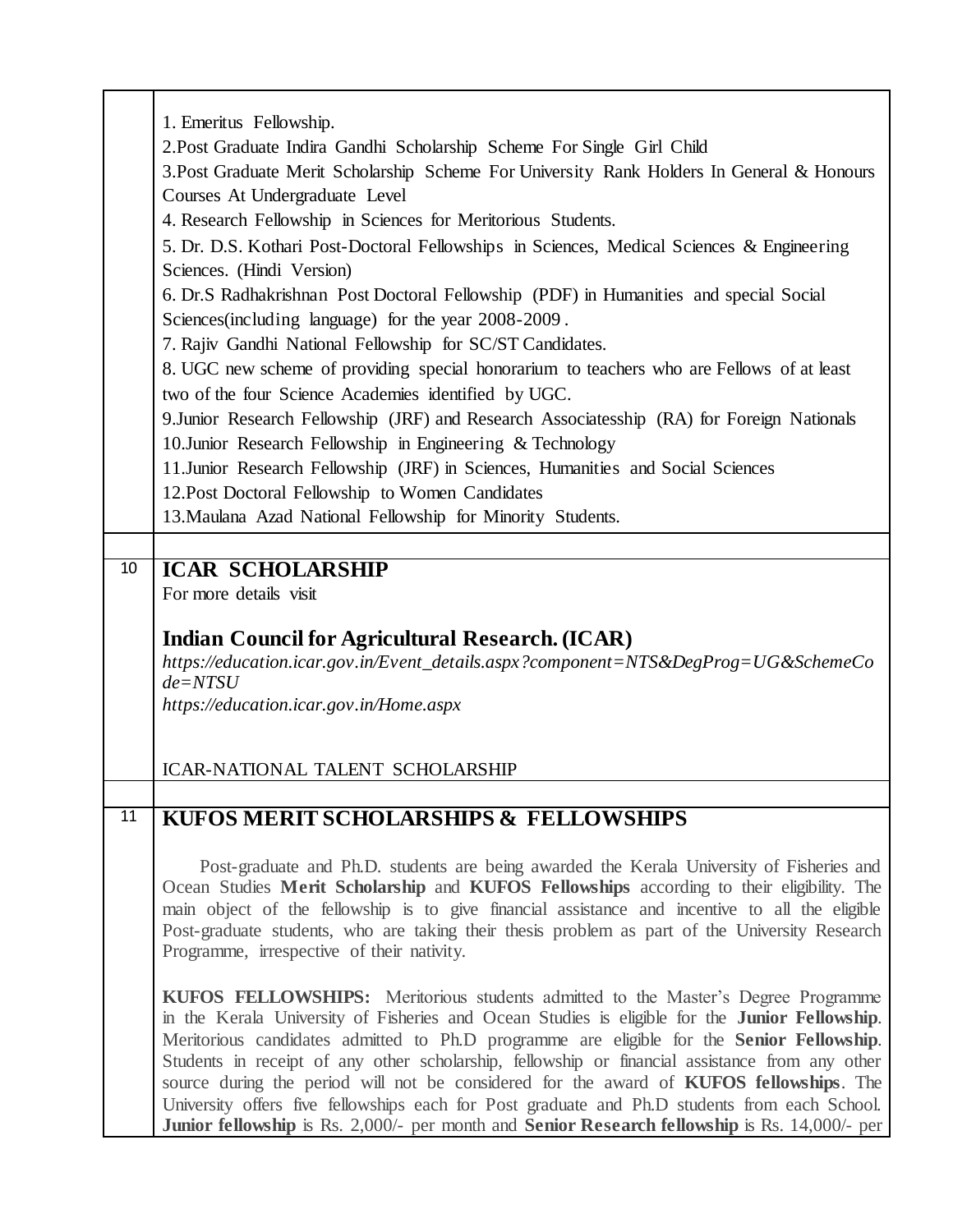|    | 1. Emeritus Fellowship.                                                                                                                                                                                      |
|----|--------------------------------------------------------------------------------------------------------------------------------------------------------------------------------------------------------------|
|    | 2. Post Graduate Indira Gandhi Scholarship Scheme For Single Girl Child                                                                                                                                      |
|    | 3. Post Graduate Merit Scholarship Scheme For University Rank Holders In General & Honours                                                                                                                   |
|    | Courses At Undergraduate Level                                                                                                                                                                               |
|    | 4. Research Fellowship in Sciences for Meritorious Students.                                                                                                                                                 |
|    | 5. Dr. D.S. Kothari Post-Doctoral Fellowships in Sciences, Medical Sciences & Engineering                                                                                                                    |
|    |                                                                                                                                                                                                              |
|    | Sciences. (Hindi Version)                                                                                                                                                                                    |
|    | 6. Dr.S Radhakrishnan Post Doctoral Fellowship (PDF) in Humanities and special Social                                                                                                                        |
|    | Sciences (including language) for the year 2008-2009.                                                                                                                                                        |
|    | 7. Rajiv Gandhi National Fellowship for SC/ST Candidates.                                                                                                                                                    |
|    | 8. UGC new scheme of providing special honorarium to teachers who are Fellows of at least                                                                                                                    |
|    | two of the four Science Academies identified by UGC.                                                                                                                                                         |
|    | 9. Junior Research Fellowship (JRF) and Research Associatesship (RA) for Foreign Nationals                                                                                                                   |
|    | 10. Junior Research Fellowship in Engineering $&$ Technology                                                                                                                                                 |
|    | 11. Junior Research Fellowship (JRF) in Sciences, Humanities and Social Sciences                                                                                                                             |
|    | 12. Post Doctoral Fellowship to Women Candidates                                                                                                                                                             |
|    | 13. Maulana Azad National Fellowship for Minority Students.                                                                                                                                                  |
|    |                                                                                                                                                                                                              |
| 10 | <b>ICAR SCHOLARSHIP</b>                                                                                                                                                                                      |
|    | For more details visit                                                                                                                                                                                       |
|    |                                                                                                                                                                                                              |
|    | <b>Indian Council for Agricultural Research. (ICAR)</b>                                                                                                                                                      |
|    | https://education.icar.gov.in/Event_details.aspx?component=NTS&DegProg=UG&SchemeCo                                                                                                                           |
|    | $de = NTSU$                                                                                                                                                                                                  |
|    | https://education.icar.gov.in/Home.aspx                                                                                                                                                                      |
|    |                                                                                                                                                                                                              |
|    |                                                                                                                                                                                                              |
|    |                                                                                                                                                                                                              |
|    | <b>ICAR-NATIONAL TALENT SCHOLARSHIP</b>                                                                                                                                                                      |
|    |                                                                                                                                                                                                              |
| 11 | KUFOS MERIT SCHOLARSHIPS & FELLOWSHIPS                                                                                                                                                                       |
|    |                                                                                                                                                                                                              |
|    | Post-graduate and Ph.D. students are being awarded the Kerala University of Fisheries and                                                                                                                    |
|    | Ocean Studies Merit Scholarship and KUFOS Fellowships according to their eligibility. The                                                                                                                    |
|    | main object of the fellowship is to give financial assistance and incentive to all the eligible                                                                                                              |
|    | Post-graduate students, who are taking their thesis problem as part of the University Research                                                                                                               |
|    | Programme, irrespective of their nativity.                                                                                                                                                                   |
|    | KUFOS FELLOWSHIPS: Meritorious students admitted to the Master's Degree Programme                                                                                                                            |
|    | in the Kerala University of Fisheries and Ocean Studies is eligible for the Junior Fellowship.                                                                                                               |
|    | Meritorious candidates admitted to Ph.D programme are eligible for the Senior Fellowship.                                                                                                                    |
|    | Students in receipt of any other scholarship, fellowship or financial assistance from any other                                                                                                              |
|    | source during the period will not be considered for the award of KUFOS fellowships. The                                                                                                                      |
|    | University offers five fellowships each for Post graduate and Ph.D students from each School.<br><b>Junior fellowship</b> is Rs. 2,000/- per month and <b>Senior Research fellowship</b> is Rs. 14,000/- per |